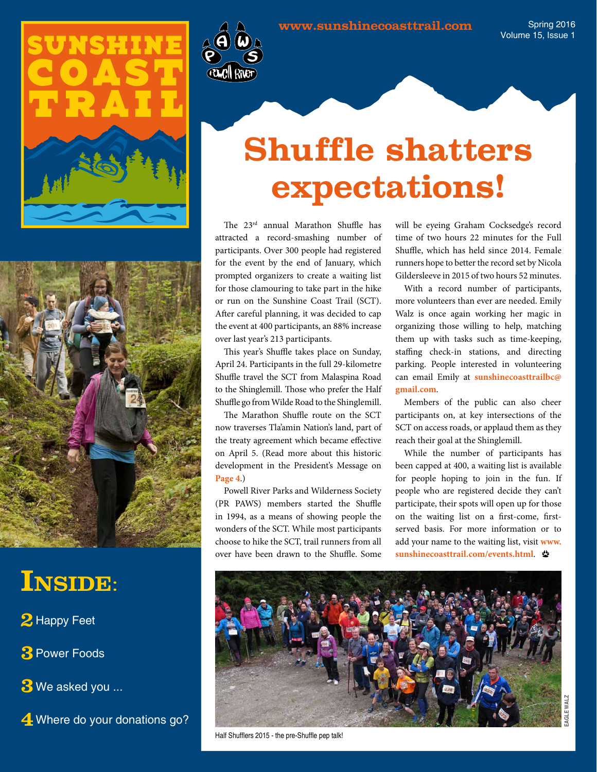Spring 2016 Volume 15, Issue 1





### **Inside**:

- **2** Happy Feet
- **3**Power Foods
- **3** We asked you ...
- **4** Where do your donations go?



## **Shuffle shatters expectations!**

The 23rd annual Marathon Shuffle has attracted a record-smashing number of participants. Over 300 people had registered for the event by the end of January, which prompted organizers to create a waiting list for those clamouring to take part in the hike or run on the Sunshine Coast Trail (SCT). After careful planning, it was decided to cap the event at 400 participants, an 88% increase over last year's 213 participants.

This year's Shuffle takes place on Sunday, April 24. Participants in the full 29-kilometre Shuffle travel the SCT from Malaspina Road to the Shinglemill. Those who prefer the Half Shuffle go from Wilde Road to the Shinglemill.

The Marathon Shuffle route on the SCT now traverses Tla'amin Nation's land, part of the treaty agreement which became effective on April 5. (Read more about this historic development in the President's Message on **[Page 4](#page-3-0)**.)

Powell River Parks and Wilderness Society (PR PAWS) members started the Shuffle in 1994, as a means of showing people the wonders of the SCT. While most participants choose to hike the SCT, trail runners from all over have been drawn to the Shuffle. Some

will be eyeing Graham Cocksedge's record time of two hours 22 minutes for the Full Shuffle, which has held since 2014. Female runners hope to better the record set by Nicola Gildersleeve in 2015 of two hours 52 minutes.

With a record number of participants, more volunteers than ever are needed. Emily Walz is once again working her magic in organizing those willing to help, matching them up with tasks such as time-keeping, staffing check-in stations, and directing parking. People interested in volunteering can email Emily at **[sunshinecoasttrailbc@](mailto:sunshinecoasttrailbc%40gmail.com?subject=Volunteer%20for%20Marathon%20Shuffle) [gmail.com](mailto:sunshinecoasttrailbc%40gmail.com?subject=Volunteer%20for%20Marathon%20Shuffle)**.

Members of the public can also cheer participants on, at key intersections of the SCT on access roads, or applaud them as they reach their goal at the Shinglemill.

While the number of participants has been capped at 400, a waiting list is available for people hoping to join in the fun. If people who are registered decide they can't participate, their spots will open up for those on the waiting list on a first-come, firstserved basis. For more information or to add your name to the waiting list, visit **[www.](www.sunshinecoasttrail.com/events.html) [sunshinecoasttrail.com/events.html](www.sunshinecoasttrail.com/events.html)**.



Half Shufflers 2015 - the pre-Shuffle pep talk!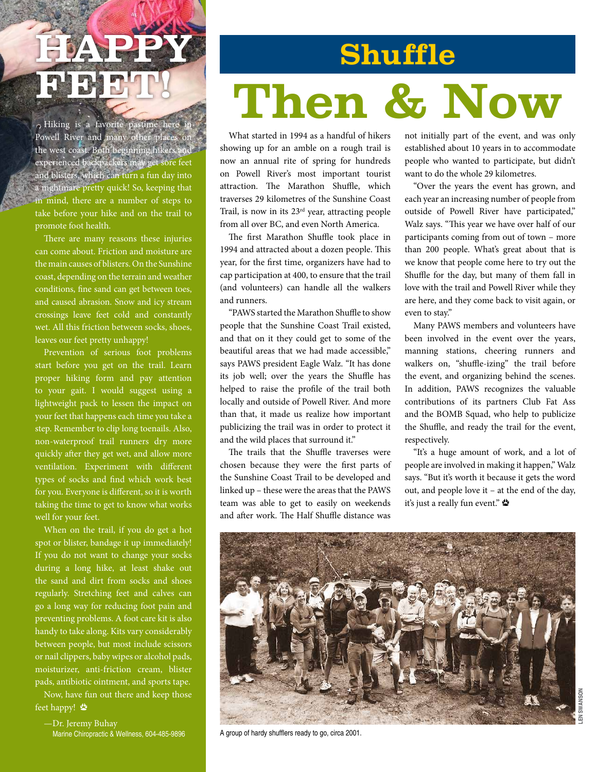## **HDAN PIE BLBLD**

Hiking is a favorite pastime here in Powell River and many other places on the west coast. Both beginning hikers and experienced backpackers may get sore feet and blisters, which can turn a fun day into a nightmare pretty quick! So, keeping that in mind, there are a number of steps to take before your hike and on the trail to promote foot health.

There are many reasons these injuries can come about. Friction and moisture are the main causes of blisters. On the Sunshine coast, depending on the terrain and weather conditions, fine sand can get between toes, and caused abrasion. Snow and icy stream crossings leave feet cold and constantly wet. All this friction between socks, shoes, leaves our feet pretty unhappy!

Prevention of serious foot problems start before you get on the trail. Learn proper hiking form and pay attention to your gait. I would suggest using a lightweight pack to lessen the impact on your feet that happens each time you take a step. Remember to clip long toenails. Also, non-waterproof trail runners dry more quickly after they get wet, and allow more ventilation. Experiment with different types of socks and find which work best for you. Everyone is different, so it is worth taking the time to get to know what works well for your feet.

When on the trail, if you do get a hot spot or blister, bandage it up immediately! If you do not want to change your socks during a long hike, at least shake out the sand and dirt from socks and shoes regularly. Stretching feet and calves can go a long way for reducing foot pain and preventing problems. A foot care kit is also handy to take along. Kits vary considerably between people, but most include scissors or nail clippers, baby wipes or alcohol pads, moisturizer, anti-friction cream, blister pads, antibiotic ointment, and sports tape.

Now, have fun out there and keep those feet happy!

—Dr. Jeremy Buhay Marine Chiropractic & Wellness, 604-485-9896

# **Then & Now Shuffle**

What started in 1994 as a handful of hikers showing up for an amble on a rough trail is now an annual rite of spring for hundreds on Powell River's most important tourist attraction. The Marathon Shuffle, which traverses 29 kilometres of the Sunshine Coast Trail, is now in its 23rd year, attracting people from all over BC, and even North America.

The first Marathon Shuffle took place in 1994 and attracted about a dozen people. This year, for the first time, organizers have had to cap participation at 400, to ensure that the trail (and volunteers) can handle all the walkers and runners.

"PAWS started the Marathon Shuffle to show people that the Sunshine Coast Trail existed, and that on it they could get to some of the beautiful areas that we had made accessible," says PAWS president Eagle Walz. "It has done its job well; over the years the Shuffle has helped to raise the profile of the trail both locally and outside of Powell River. And more than that, it made us realize how important publicizing the trail was in order to protect it and the wild places that surround it."

The trails that the Shuffle traverses were chosen because they were the first parts of the Sunshine Coast Trail to be developed and linked up – these were the areas that the PAWS team was able to get to easily on weekends and after work. The Half Shuffle distance was

not initially part of the event, and was only established about 10 years in to accommodate people who wanted to participate, but didn't want to do the whole 29 kilometres.

"Over the years the event has grown, and each year an increasing number of people from outside of Powell River have participated," Walz says. "This year we have over half of our participants coming from out of town – more than 200 people. What's great about that is we know that people come here to try out the Shuffle for the day, but many of them fall in love with the trail and Powell River while they are here, and they come back to visit again, or even to stay."

Many PAWS members and volunteers have been involved in the event over the years, manning stations, cheering runners and walkers on, "shuffle-izing" the trail before the event, and organizing behind the scenes. In addition, PAWS recognizes the valuable contributions of its partners Club Fat Ass and the BOMB Squad, who help to publicize the Shuffle, and ready the trail for the event, respectively.

"It's a huge amount of work, and a lot of people are involved in making it happen," Walz says. "But it's worth it because it gets the word out, and people love it – at the end of the day, it's just a really fun event."



A group of hardy shufflers ready to go, circa 2001.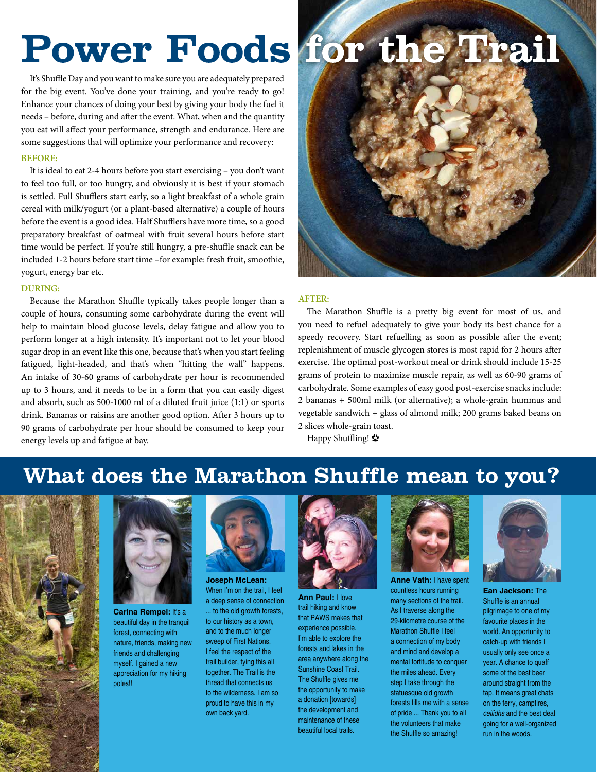## Power Foods for the Trail

It's Shuffle Day and you want to make sure you are adequately prepared for the big event. You've done your training, and you're ready to go! Enhance your chances of doing your best by giving your body the fuel it needs – before, during and after the event. What, when and the quantity you eat will affect your performance, strength and endurance. Here are some suggestions that will optimize your performance and recovery:

#### **BEFORE:**

It is ideal to eat 2-4 hours before you start exercising – you don't want to feel too full, or too hungry, and obviously it is best if your stomach is settled. Full Shufflers start early, so a light breakfast of a whole grain cereal with milk/yogurt (or a plant-based alternative) a couple of hours before the event is a good idea. Half Shufflers have more time, so a good preparatory breakfast of oatmeal with fruit several hours before start time would be perfect. If you're still hungry, a pre-shuffle snack can be included 1-2 hours before start time –for example: fresh fruit, smoothie, yogurt, energy bar etc.

#### **DURING:**

Because the Marathon Shuffle typically takes people longer than a couple of hours, consuming some carbohydrate during the event will help to maintain blood glucose levels, delay fatigue and allow you to perform longer at a high intensity. It's important not to let your blood sugar drop in an event like this one, because that's when you start feeling fatigued, light-headed, and that's when "hitting the wall" happens. An intake of 30-60 grams of carbohydrate per hour is recommended up to 3 hours, and it needs to be in a form that you can easily digest and absorb, such as 500-1000 ml of a diluted fruit juice (1:1) or sports drink. Bananas or raisins are another good option. After 3 hours up to 90 grams of carbohydrate per hour should be consumed to keep your energy levels up and fatigue at bay.



#### **AFTER:**

The Marathon Shuffle is a pretty big event for most of us, and you need to refuel adequately to give your body its best chance for a speedy recovery. Start refuelling as soon as possible after the event; replenishment of muscle glycogen stores is most rapid for 2 hours after exercise. The optimal post-workout meal or drink should include 15-25 grams of protein to maximize muscle repair, as well as 60-90 grams of carbohydrate. Some examples of easy good post-exercise snacks include: 2 bananas + 500ml milk (or alternative); a whole-grain hummus and vegetable sandwich + glass of almond milk; 200 grams baked beans on 2 slices whole-grain toast.

Happy Shuffling!

### **What does the Marathon Shuffle mean to you?**





**Carina Rempel:** It's a beautiful day in the tranquil forest, connecting with nature, friends, making new friends and challenging myself. I gained a new appreciation for my hiking poles!!



**Joseph McLean:**  When I'm on the trail, I feel a deep sense of connection ... to the old growth forests, to our history as a town, and to the much longer sweep of First Nations. I feel the respect of the trail builder, tying this all together. The Trail is the thread that connects us to the wilderness. I am so proud to have this in my own back yard.



**Ann Paul:** I love trail hiking and know that PAWS makes that experience possible. I'm able to explore the forests and lakes in the area anywhere along the Sunshine Coast Trail. The Shuffle gives me the opportunity to make a donation [towards] the development and maintenance of these beautiful local trails.



**Anne Vath:** I have spent countless hours running many sections of the trail. As I traverse along the 29-kilometre course of the Marathon Shuffle I feel a connection of my body and mind and develop a mental fortitude to conquer the miles ahead. Every step I take through the statuesque old growth forests fills me with a sense of pride ... Thank you to all the volunteers that make the Shuffle so amazing!



**Ean Jackson:** The Shuffle is an annual pilgrimage to one of my favourite places in the world. An opportunity to catch-up with friends I usually only see once a year. A chance to quaff some of the best beer around straight from the tap. It means great chats on the ferry, campfires, *ceilidhs* and the best deal going for a well-organized run in the woods.